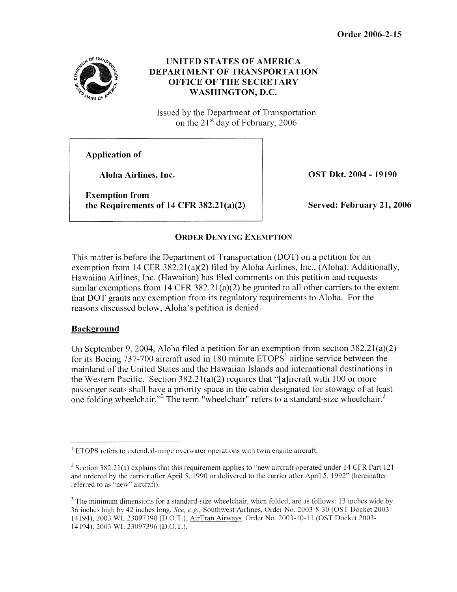

## **UNITED STATES OF AMERICA DEPARTMENT OF TRANSPORTATION OFFICE OF THE SECRETARY WASHINGTON, D.C.**

Issued by the Department of Transportation on the  $21<sup>st</sup>$  day of February, 2006

**Application of** 

**Aloha Airlines, Inc.** 

**Exemption from the Requirements of 14 CFR 382.21(a)(2)**  **OST Dkt. 2004** - **19190** 

**Served: February 21,2006** 

# **ORDER DENYING EXEMPTION**

This matter is before the Department of Transportation (DOT) on a petition for an exemption from 14 CFR 382.21(a)(2) filed by Aloha Airlines, Inc., (Aloha). Additionally, Hawaiian Airlines, Inc. (Hawaiian) has filed comments on this petition and requests similar exemptions from 14 CFR 382.21(a)(2) be granted to all other carriers to the extent that DOT grants any exemption from its regulatory requirements to Aloha. For the reasons discussed below, Aloha's petition is denied.

## **Background**

On September 9,2004, Aloha filed a petition for an exemption from section 382.21(a)(2) for its Boeing 737-700 aircraft used in 180 minute  $ETOPS<sup>1</sup>$  airline service between the mainland of the United States and the Hawaiian Islands and international destinations in the Western Pacific. Section 382.21(a)(2) requires that "[alircraft with 100 or more passenger seats shall have a priority space in the cabin designated for stowage of at least one folding wheelchair."<sup>2</sup> The term "wheelchair" refers to a standard-size wheelchair.<sup>3</sup>

 $<sup>1</sup>$  ETOPS refers to extended-range overwater operations with twin engine aircraft.</sup>

<sup>&</sup>lt;sup>2</sup> Section 382.21(a) explains that this requirement applies to "new aircraft operated under 14 CFR Part 121 and ordered by the carrier after April 5, 1990 or delivered to the carrier after April 5, 1992" (hereinafter referred to as "new" aircraft).

<sup>&</sup>lt;sup>3</sup> The minimum dimensions for a standard-size wheelchair, when folded, are as follows: 13 inches wide by *36* inches high by 42 inches long. *See, e.g.*, Southwest Airlines, Order No. 2003-8-30 (OST Docket 2003-14194), 2003 WL 23097390 (D.O.T.), AirTran Airways, Order No. 2003-10-11 (OST Docket 2003-14194), 2003 WL 23097396 (D.O.T.).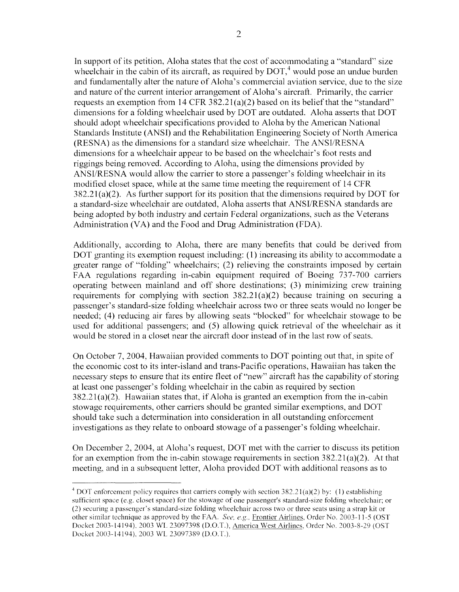In support of its petition, Aloha states that the cost of accommodating a "standard" size wheelchair in the cabin of its aircraft, as required by  $DOT<sub>1</sub><sup>4</sup>$  would pose an undue burden and fundamentally alter the nature of Aloha's commercial aviation service, due to the size and nature of the current interior arrangement of Aloha's aircraft. Primarily, the carrier requests an exemption from  $14 \text{ CFR } 382.21(a)(2)$  based on its belief that the "standard" dimensions for a folding wheelchair used by DOT are outdated. Aloha asserts that DOT should adopt wheelchair specifications provided to Aloha by the American National Standards Institute (ANSI) and the Rehabilitation Engineering Society of North America (RESNA) as the dimensions for a standard size wheelchair. The ANSURESNA dimensions for a wheelchair appear to be based on the wheelchair's foot rests and riggings being removed. According to Aloha, using the dimensions provided by ANSURESNA would allow the carrier to store a passenger's folding wheelchair in its modified closet space, while at the same time meeting the requirement of 14 CFR  $382.21(a)(2)$ . As further support for its position that the dimensions required by DOT for a standard-size wheelchair are outdated, Aloha asserts that ANSURESNA standards are being adopted by both industry and certain Federal organizations, such as the Veterans Administration (VA) and the Food and Drug Administration (FDA).

Additionally, according to Aloha, there are many benefits that could be derived from DOT granting its exemption request including: (1) increasing its ability to accommodate a greater range of "folding" wheelchairs; (2) relieving the constraints imposed by certain FAA regulations regarding in-cabin equipment required of Boeing 737-700 carriers operating between mainland and off shore destinations; (3) minimizing crew training requirements for complying with section  $382.21(a)(2)$  because training on securing a passcnger's standard-size folding wheelchair across two or three seats would no longer be needed; (4) reducing air fares by allowing seats "blocked" for wheelchair stowage to be used for additional passengers; and *(5)* allowing quick retrieval of the wheelchair as it would be stored in a closet near the aircraft door instead of in the last row of seats.

On October 7, 2004, Hawaiian provided comments to DOT pointing out that, in spite of the economic cost to its inter-island and trans-Pacific operations, Hawaiian has taken the necessary steps to ensure that its entire fleet of "new" aircraft has the capability of storing at least one passenger's folding wheelchair in the cabin as required by section  $382.21(a)(2)$ . Hawaiian states that, if Aloha is granted an exemption from the in-cabin stowage requirements, other carriers should be granted similar exemptions, and DOT should take such a determination into consideration in all outstanding enforcement investigations as they relate to onboard stowage of a passenger's folding wheelchair.

On December 2, 2004, at Aloha's request, DOT met with the carrier to discuss its petition for an exemption from the in-cabin stowage requirements in section  $382.21(a)(2)$ . At that meeting, and in a subsequent letter, Aloha provided DOT with additional reasons as to

<sup>&</sup>lt;sup>4</sup> DOT enforcement policy requires that carriers comply with section  $382.21(a)(2)$  by: (1) establishing sufficient space (e.g. closet space) for the stowage of one passenger's standard-size folding wheelchair; or (2) securing a passenger's standard-size folding wheelchair across two or three seats using a strap kit or other similar technique as approved by the FAA. See, e.g., Frontier Airlines, Order No. 2003-11-5 (OST) Docket 2003-14194), 2003 WL 23097398 (D.O.T.), America West Airlines, Order No. 2003-8-29 (OST Docket 2003-14194), 2003 WL 23097389 (D.O.T.).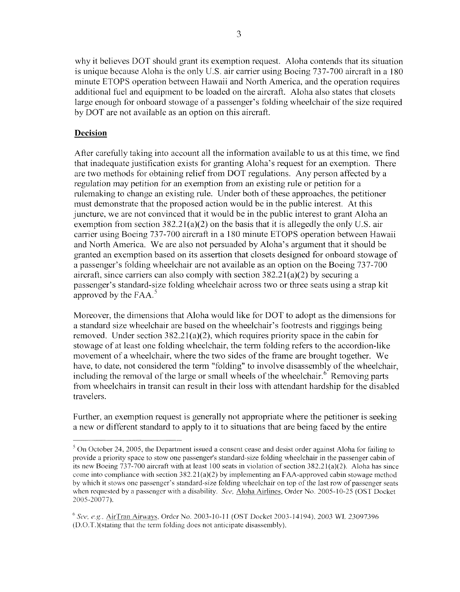why it believes DOT should grant its exemption request. Aloha contends that its situation is unique because Aloha is the only U.S. air carrier using Boeing 737-700 aircraft in a 180 minute ETOPS operation between Hawaii and North America, and the operation requires additional fuel and equipment to be loaded on the aircraft. Aloha also states that closets large enough for onboard stowage of a passenger's folding wheelchair of the size required by DOT are not available as an option on this aircraft.

### **Decision**

After carefully taking into account all the information available to us at this time, we find that inadequate justification exists for granting Aloha's request for an exemption. There are two methods for obtaining relicf from DOT regulations. Any person affected by a regulation may petition for an exemption from an existing rule or petition for a rulemaking to change an existing rule. Under both of these approaches, the petitioner must demonstrate that the proposed action would be in the public interest. At this juncture, we are not convinced that it would be in the public interest to grant Aloha an exemption from section  $382.21(a)(2)$  on the basis that it is allegedly the only U.S. air carrier using Boeing 737-700 aircraft in a 180 minute ETOPS operation between Hawaii and North America. We are also not persuaded by Aloha's argument that it should be granted an exemption based on its assertion that closets designed for onboard stowage of a passenger's folding wheelchair are not available as an option on the Boeing 737-700 aircraft, since carriers can also comply with section  $382.21(a)(2)$  by securing a passenger's standard-size folding wheelchair across two or three seats using a strap kit approved by the FAA. $^5$ 

Moreover, the dimensions that Aloha would like for DOT to adopt as the dimensions for a standard size wheelchair are based on the wheelchair's footrests and riggings being removed. Under section  $382.21(a)(2)$ , which requires priority space in the cabin for stowage of at least one folding wheelchair, the term folding refers to the accordion-like movement of a wheelchair, where the two sides of the frame are brought together. We have, to date, not considered the term "folding" to involve disassembly of the wheelchair, including the removal of the large or small wheels of the wheelchair.<sup> $6$ </sup> Removing parts from wheelchairs in transit can result in their loss with attendant hardship for the disabled travelers.

Further, an exemption request is generally not appropriate where the petitioner is seeking a new or different standard to apply to it to situations that are being faced by the entire

The Consequence of the Department issued a consent cease and desist order against Aloha for failing to  $\frac{1}{2}$ provide a priority space to stow one passenger's standard-size folding wheelchair in the passenger cabin of its new Boeing 737-700 aircraft with at least 100 seats in violation of section 382.21(a)(2). Aloha has since come into compliance with section  $382.21(a)(2)$  by implementing an FAA-approved cabin stowage method by which it stows one passenger's standard-size folding wheelchair on top of the last row of passenger seats when requested by a passenger with a disability. See, Aloha Airlines, Order No. 2005-10-25 (OST Docket 2005-2007*7).* 

<sup>&</sup>lt;sup>6</sup> See, e.g., AirTran Airways, Order No. 2003-10-11 (OST Docket 2003-14194), 2003 WL 23097396 (D.O.T.)(stating that the term folding does not anticipate disassembly).